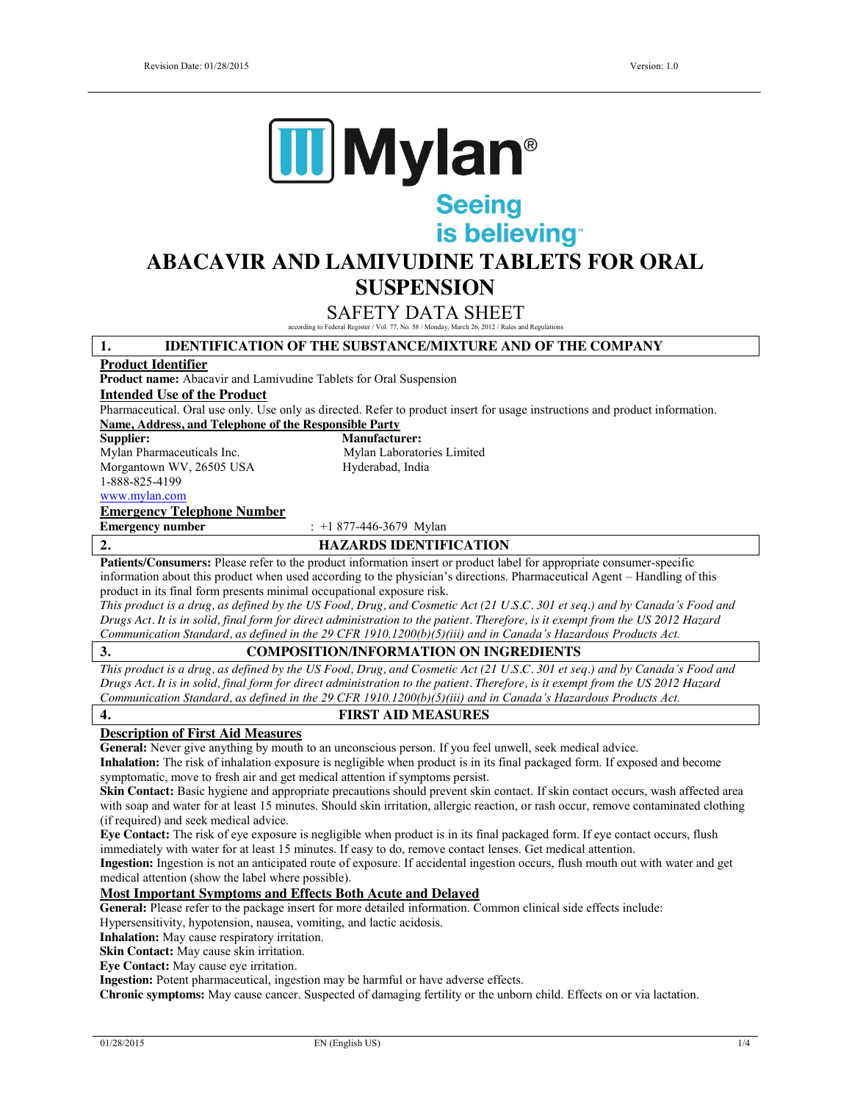

# Seeing<br>is believing

# **ABACAVIR AND LAMIVUDINE TABLETS FOR ORAL SUSPENSION**

# SAFETY DATA SHEET

according to Federal Register / Vol. 77, No. 58 / Monday, March 26, 2012 / Rules and Regulations

| according to Federal Register / Vol. 77, No. 58 / Monday, March 26, 2012 / Rules and Regulations                                    |  |  |
|-------------------------------------------------------------------------------------------------------------------------------------|--|--|
| <b>IDENTIFICATION OF THE SUBSTANCE/MIXTURE AND OF THE COMPANY</b><br>1.                                                             |  |  |
| <b>Product Identifier</b>                                                                                                           |  |  |
| Product name: Abacavir and Lamivudine Tablets for Oral Suspension                                                                   |  |  |
| <b>Intended Use of the Product</b>                                                                                                  |  |  |
| Pharmaceutical. Oral use only. Use only as directed. Refer to product insert for usage instructions and product information.        |  |  |
| Name, Address, and Telephone of the Responsible Party                                                                               |  |  |
| Supplier:<br><b>Manufacturer:</b>                                                                                                   |  |  |
| Mylan Pharmaceuticals Inc.<br>Mylan Laboratories Limited                                                                            |  |  |
| Morgantown WV, 26505 USA<br>Hyderabad, India                                                                                        |  |  |
| 1-888-825-4199                                                                                                                      |  |  |
| www.mylan.com                                                                                                                       |  |  |
| <b>Emergency Telephone Number</b>                                                                                                   |  |  |
| <b>Emergency number</b><br>: $+1877-446-3679$ Mylan                                                                                 |  |  |
| 2.<br><b>HAZARDS IDENTIFICATION</b>                                                                                                 |  |  |
| Patients/Consumers: Please refer to the product information insert or product label for appropriate consumer-specific               |  |  |
| information about this product when used according to the physician's directions. Pharmaceutical Agent - Handling of this           |  |  |
| product in its final form presents minimal occupational exposure risk.                                                              |  |  |
| This product is a drug, as defined by the US Food, Drug, and Cosmetic Act (21 U.S.C. 301 et seq.) and by Canada's Food and          |  |  |
| Drugs Act. It is in solid, final form for direct administration to the patient. Therefore, is it exempt from the US 2012 Hazard     |  |  |
| Communication Standard, as defined in the 29 CFR 1910.1200(b)(5)(iii) and in Canada's Hazardous Products Act.                       |  |  |
| 3.<br><b>COMPOSITION/INFORMATION ON INGREDIENTS</b>                                                                                 |  |  |
| This product is a drug, as defined by the US Food, Drug, and Cosmetic Act (21 U.S.C. 301 et seq.) and by Canada's Food and          |  |  |
| Drugs Act. It is in solid, final form for direct administration to the patient. Therefore, is it exempt from the US 2012 Hazard     |  |  |
| Communication Standard, as defined in the 29 CFR 1910.1200(b)(5)(iii) and in Canada's Hazardous Products Act.                       |  |  |
| $\overline{4}$ .<br><b>FIRST AID MEASURES</b>                                                                                       |  |  |
| <b>Description of First Aid Measures</b>                                                                                            |  |  |
| General: Never give anything by mouth to an unconscious person. If you feel unwell, seek medical advice.                            |  |  |
| Inhalation: The risk of inhalation exposure is negligible when product is in its final packaged form. If exposed and become         |  |  |
| symptomatic, move to fresh air and get medical attention if symptoms persist.                                                       |  |  |
| Skin Contact: Basic hygiene and appropriate precautions should prevent skin contact. If skin contact occurs, wash affected area     |  |  |
| with soap and water for at least 15 minutes. Should skin irritation, allergic reaction, or rash occur, remove contaminated clothing |  |  |
| (if required) and seek medical advice.                                                                                              |  |  |
| Eye Contact: The risk of eye exposure is negligible when product is in its final packaged form. If eye contact occurs, flush        |  |  |
| immediately with water for at least 15 minutes. If easy to do, remove contact lenses. Get medical attention.                        |  |  |
| Ingestion: Ingestion is not an anticipated route of exposure. If accidental ingestion occurs, flush mouth out with water and get    |  |  |
| medical attention (show the label where possible).                                                                                  |  |  |
| <b>Most Important Symptoms and Effects Both Acute and Delayed</b>                                                                   |  |  |
| General: Please refer to the package insert for more detailed information. Common clinical side effects include:                    |  |  |
| Hypersensitivity, hypotension, nausea, vomiting, and lactic acidosis.                                                               |  |  |
| Inhalation: May cause respiratory irritation.                                                                                       |  |  |
| Skin Contact: May cause skin irritation.                                                                                            |  |  |
| Eye Contact: May cause eye irritation.                                                                                              |  |  |
| Ingestion: Potent pharmaceutical, ingestion may be harmful or have adverse effects.                                                 |  |  |
| Chronic symptoms: May cause cancer. Suspected of damaging fertility or the unborn child. Effects on or via lactation.               |  |  |
|                                                                                                                                     |  |  |
|                                                                                                                                     |  |  |
| 1/4<br>01/28/2015<br>EN (English US)                                                                                                |  |  |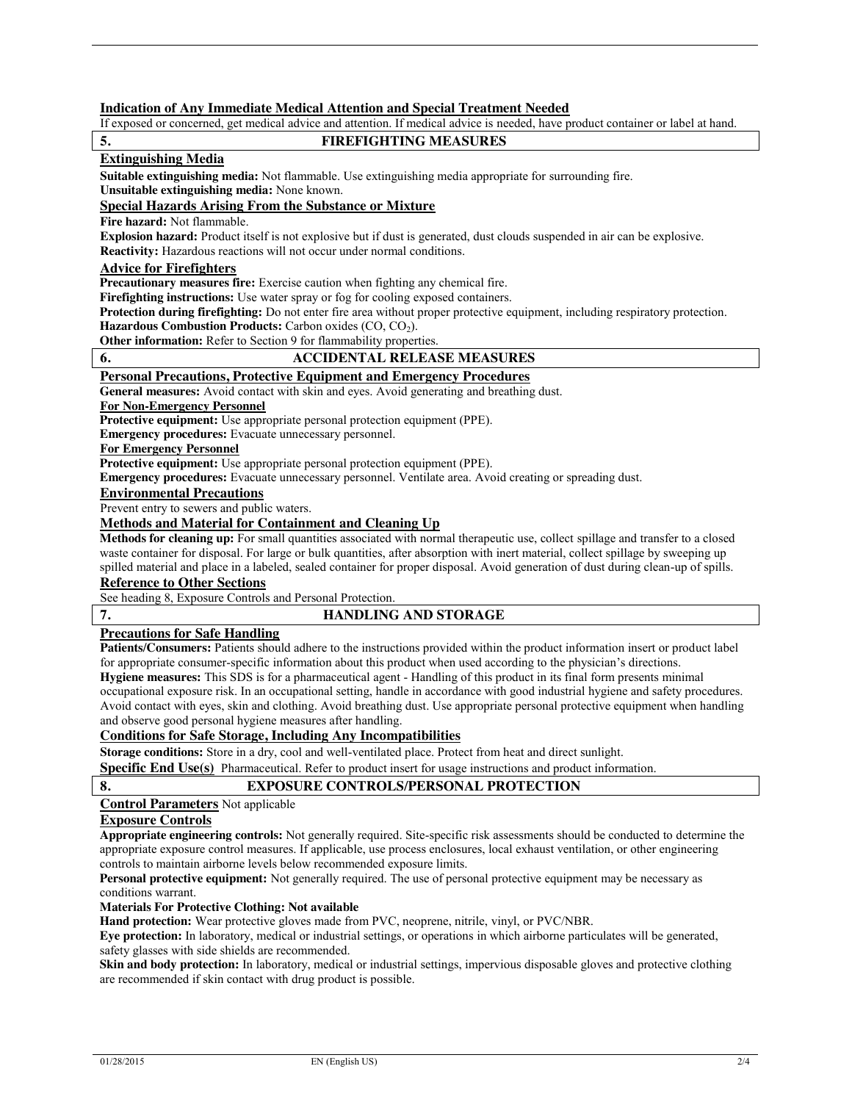#### **Indication of Any Immediate Medical Attention and Special Treatment Needed**

If exposed or concerned, get medical advice and attention. If medical advice is needed, have product container or label at hand.

# **5. FIREFIGHTING MEASURES**

# **Extinguishing Media**

**Suitable extinguishing media:** Not flammable. Use extinguishing media appropriate for surrounding fire.

**Unsuitable extinguishing media:** None known.

# **Special Hazards Arising From the Substance or Mixture**

**Fire hazard:** Not flammable.

**Explosion hazard:** Product itself is not explosive but if dust is generated, dust clouds suspended in air can be explosive.

**Reactivity:** Hazardous reactions will not occur under normal conditions.

# **Advice for Firefighters**

**Precautionary measures fire:** Exercise caution when fighting any chemical fire.

**Firefighting instructions:** Use water spray or fog for cooling exposed containers.

**Protection during firefighting:** Do not enter fire area without proper protective equipment, including respiratory protection.

**Hazardous Combustion Products:** Carbon oxides (CO, CO<sub>2</sub>).

**Other information:** Refer to Section 9 for flammability properties.

#### **6. ACCIDENTAL RELEASE MEASURES**

#### **Personal Precautions, Protective Equipment and Emergency Procedures**

**General measures:** Avoid contact with skin and eyes. Avoid generating and breathing dust.

**For Non-Emergency Personnel**

**Protective equipment:** Use appropriate personal protection equipment (PPE).

**Emergency procedures:** Evacuate unnecessary personnel.

**For Emergency Personnel**

**Protective equipment:** Use appropriate personal protection equipment (PPE).

**Emergency procedures:** Evacuate unnecessary personnel. Ventilate area. Avoid creating or spreading dust.

#### **Environmental Precautions**

Prevent entry to sewers and public waters.

#### **Methods and Material for Containment and Cleaning Up**

**Methods for cleaning up:** For small quantities associated with normal therapeutic use, collect spillage and transfer to a closed waste container for disposal. For large or bulk quantities, after absorption with inert material, collect spillage by sweeping up spilled material and place in a labeled, sealed container for proper disposal. Avoid generation of dust during clean-up of spills.

# **Reference to Other Sections**

See heading 8, Exposure Controls and Personal Protection.

#### **7. HANDLING AND STORAGE**

# **Precautions for Safe Handling**

Patients/Consumers: Patients should adhere to the instructions provided within the product information insert or product label for appropriate consumer-specific information about this product when used according to the physician's directions. **Hygiene measures:** This SDS is for a pharmaceutical agent - Handling of this product in its final form presents minimal occupational exposure risk. In an occupational setting, handle in accordance with good industrial hygiene and safety procedures. Avoid contact with eyes, skin and clothing. Avoid breathing dust. Use appropriate personal protective equipment when handling and observe good personal hygiene measures after handling.

### **Conditions for Safe Storage, Including Any Incompatibilities**

**Storage conditions:** Store in a dry, cool and well-ventilated place. Protect from heat and direct sunlight.

**Specific End Use(s)** Pharmaceutical. Refer to product insert for usage instructions and product information.

# **8. EXPOSURE CONTROLS/PERSONAL PROTECTION**

**Control Parameters** Not applicable

#### **Exposure Controls**

**Appropriate engineering controls:** Not generally required. Site-specific risk assessments should be conducted to determine the appropriate exposure control measures. If applicable, use process enclosures, local exhaust ventilation, or other engineering controls to maintain airborne levels below recommended exposure limits.

**Personal protective equipment:** Not generally required. The use of personal protective equipment may be necessary as conditions warrant.

#### **Materials For Protective Clothing: Not available**

**Hand protection:** Wear protective gloves made from PVC, neoprene, nitrile, vinyl, or PVC/NBR.

**Eye protection:** In laboratory, medical or industrial settings, or operations in which airborne particulates will be generated, safety glasses with side shields are recommended.

**Skin and body protection:** In laboratory, medical or industrial settings, impervious disposable gloves and protective clothing are recommended if skin contact with drug product is possible.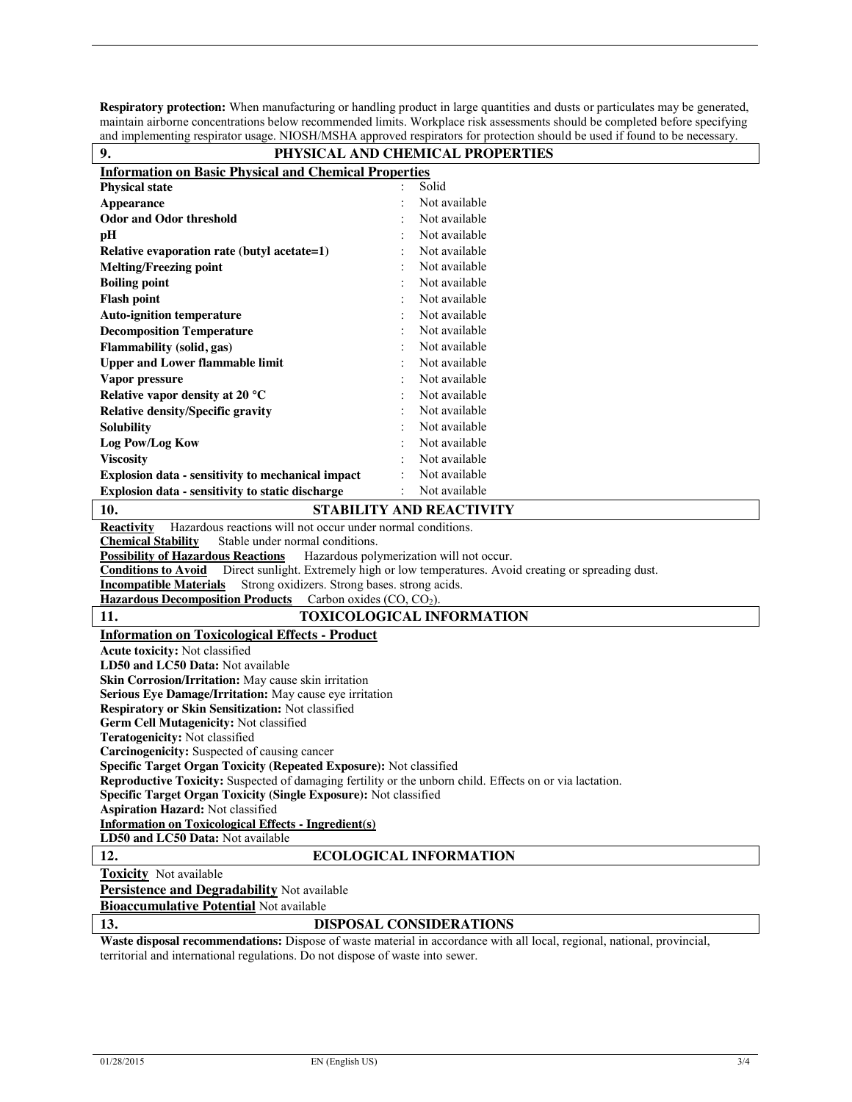**Respiratory protection:** When manufacturing or handling product in large quantities and dusts or particulates may be generated, maintain airborne concentrations below recommended limits. Workplace risk assessments should be completed before specifying and implementing respirator usage. NIOSH/MSHA approved respirators for protection should be used if found to be necessary.

| 9.                                                                                                                                                                              | and implementing respirator usage. NTOSTI/MSTIA approved respirators for protection should be used if found to be necessary<br>PHYSICAL AND CHEMICAL PROPERTIES |  |
|---------------------------------------------------------------------------------------------------------------------------------------------------------------------------------|-----------------------------------------------------------------------------------------------------------------------------------------------------------------|--|
|                                                                                                                                                                                 |                                                                                                                                                                 |  |
| <b>Information on Basic Physical and Chemical Properties</b>                                                                                                                    |                                                                                                                                                                 |  |
| <b>Physical state</b>                                                                                                                                                           | Solid                                                                                                                                                           |  |
| <b>Appearance</b>                                                                                                                                                               | Not available                                                                                                                                                   |  |
| <b>Odor and Odor threshold</b>                                                                                                                                                  | Not available                                                                                                                                                   |  |
| pH                                                                                                                                                                              | Not available                                                                                                                                                   |  |
| Relative evaporation rate (butyl acetate=1)                                                                                                                                     | Not available                                                                                                                                                   |  |
| <b>Melting/Freezing point</b>                                                                                                                                                   | Not available                                                                                                                                                   |  |
| <b>Boiling point</b>                                                                                                                                                            | Not available                                                                                                                                                   |  |
| <b>Flash point</b>                                                                                                                                                              | Not available                                                                                                                                                   |  |
| <b>Auto-ignition temperature</b>                                                                                                                                                | Not available                                                                                                                                                   |  |
| <b>Decomposition Temperature</b>                                                                                                                                                | Not available                                                                                                                                                   |  |
| Flammability (solid, gas)                                                                                                                                                       | Not available                                                                                                                                                   |  |
| <b>Upper and Lower flammable limit</b>                                                                                                                                          | Not available                                                                                                                                                   |  |
| Vapor pressure                                                                                                                                                                  | Not available                                                                                                                                                   |  |
| Relative vapor density at 20 °C                                                                                                                                                 | Not available                                                                                                                                                   |  |
| <b>Relative density/Specific gravity</b>                                                                                                                                        | Not available                                                                                                                                                   |  |
| <b>Solubility</b>                                                                                                                                                               | Not available                                                                                                                                                   |  |
| Log Pow/Log Kow                                                                                                                                                                 | Not available                                                                                                                                                   |  |
| <b>Viscosity</b>                                                                                                                                                                | Not available                                                                                                                                                   |  |
| Explosion data - sensitivity to mechanical impact                                                                                                                               | Not available                                                                                                                                                   |  |
| Explosion data - sensitivity to static discharge                                                                                                                                | Not available                                                                                                                                                   |  |
|                                                                                                                                                                                 |                                                                                                                                                                 |  |
| 10.                                                                                                                                                                             | <b>STABILITY AND REACTIVITY</b>                                                                                                                                 |  |
| Hazardous reactions will not occur under normal conditions.<br><b>Reactivity</b>                                                                                                |                                                                                                                                                                 |  |
| <b>Chemical Stability</b><br>Stable under normal conditions.                                                                                                                    |                                                                                                                                                                 |  |
| <b>Possibility of Hazardous Reactions</b><br>Hazardous polymerization will not occur.<br>Direct sunlight. Extremely high or low temperatures. Avoid creating or spreading dust. |                                                                                                                                                                 |  |
| <b>Conditions to Avoid</b><br><b>Incompatible Materials</b><br>Strong oxidizers. Strong bases, strong acids.                                                                    |                                                                                                                                                                 |  |
| <b>Hazardous Decomposition Products</b><br>Carbon oxides $(CO, CO2)$ .                                                                                                          |                                                                                                                                                                 |  |
| <b>TOXICOLOGICAL INFORMATION</b><br>11.                                                                                                                                         |                                                                                                                                                                 |  |
| <b>Information on Toxicological Effects - Product</b>                                                                                                                           |                                                                                                                                                                 |  |
|                                                                                                                                                                                 |                                                                                                                                                                 |  |
| Acute toxicity: Not classified<br>LD50 and LC50 Data: Not available                                                                                                             |                                                                                                                                                                 |  |
| Skin Corrosion/Irritation: May cause skin irritation                                                                                                                            |                                                                                                                                                                 |  |
| Serious Eye Damage/Irritation: May cause eye irritation                                                                                                                         |                                                                                                                                                                 |  |
| Respiratory or Skin Sensitization: Not classified                                                                                                                               |                                                                                                                                                                 |  |
| Germ Cell Mutagenicity: Not classified                                                                                                                                          |                                                                                                                                                                 |  |
| Teratogenicity: Not classified                                                                                                                                                  |                                                                                                                                                                 |  |
| Carcinogenicity: Suspected of causing cancer                                                                                                                                    |                                                                                                                                                                 |  |
| Specific Target Organ Toxicity (Repeated Exposure): Not classified                                                                                                              |                                                                                                                                                                 |  |
| Reproductive Toxicity: Suspected of damaging fertility or the unborn child. Effects on or via lactation.                                                                        |                                                                                                                                                                 |  |
| Specific Target Organ Toxicity (Single Exposure): Not classified                                                                                                                |                                                                                                                                                                 |  |
| Aspiration Hazard: Not classified                                                                                                                                               |                                                                                                                                                                 |  |
| <b>Information on Toxicological Effects - Ingredient(s)</b>                                                                                                                     |                                                                                                                                                                 |  |
| LD50 and LC50 Data: Not available                                                                                                                                               |                                                                                                                                                                 |  |
| 12.                                                                                                                                                                             | <b>ECOLOGICAL INFORMATION</b>                                                                                                                                   |  |
| <b>Toxicity</b> Not available                                                                                                                                                   |                                                                                                                                                                 |  |
| <b>Persistence and Degradability</b> Not available                                                                                                                              |                                                                                                                                                                 |  |
| <b>Bioaccumulative Potential Not available</b>                                                                                                                                  |                                                                                                                                                                 |  |
| 13.<br><b>DISPOSAL CONSIDERATIONS</b>                                                                                                                                           |                                                                                                                                                                 |  |
|                                                                                                                                                                                 | <b>Waste disposal recommendations:</b> Dispose of waste material in accordance with all local, regional, national, provincial,                                  |  |

**Waste disposal recommendations:** Dispose of waste material in accordance with all local, regional, national, provincial, territorial and international regulations. Do not dispose of waste into sewer.